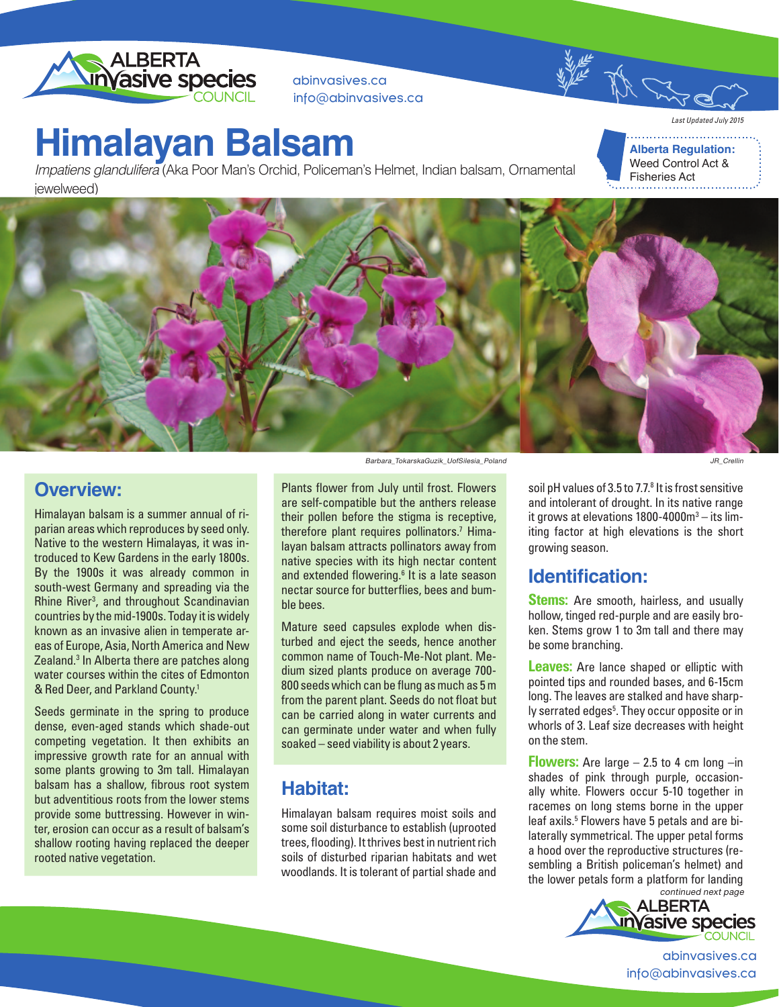

abinvasives.ca info@abinvasives.ca

## **Himalayan Balsam**

Impatiens glandulifera (Aka Poor Man's Orchid, Policeman's Helmet, Indian balsam, Ornamental jewelweed)

**Alberta Regulation:** Weed Control Act &

Fisheries Act

*Last Updated July 2015*



### **Overview:**

Himalayan balsam is a summer annual of riparian areas which reproduces by seed only. Native to the western Himalayas, it was introduced to Kew Gardens in the early 1800s. By the 1900s it was already common in south-west Germany and spreading via the Rhine River<sup>3</sup>, and throughout Scandinavian countries by the mid-1900s. Today it is widely known as an invasive alien in temperate areas of Europe, Asia, North America and New Zealand.<sup>3</sup> In Alberta there are patches along water courses within the cites of Edmonton & Red Deer, and Parkland County.1

Seeds germinate in the spring to produce dense, even-aged stands which shade-out competing vegetation. It then exhibits an impressive growth rate for an annual with some plants growing to 3m tall. Himalayan balsam has a shallow, fibrous root system but adventitious roots from the lower stems provide some buttressing. However in winter, erosion can occur as a result of balsam's shallow rooting having replaced the deeper rooted native vegetation.

Barbara\_TokarskaGuzik\_UofSilesia\_Poland

Plants flower from July until frost. Flowers are self-compatible but the anthers release their pollen before the stigma is receptive, therefore plant requires pollinators.7 Himalayan balsam attracts pollinators away from native species with its high nectar content and extended flowering.<sup>6</sup> It is a late season nectar source for butterflies, bees and bumble bees.

Mature seed capsules explode when disturbed and eject the seeds, hence another common name of Touch-Me-Not plant. Medium sized plants produce on average 700- 800 seeds which can be flung as much as 5 m from the parent plant. Seeds do not float but can be carried along in water currents and can germinate under water and when fully soaked – seed viability is about 2 years.

## **Habitat:**

Himalayan balsam requires moist soils and some soil disturbance to establish (uprooted trees, flooding). It thrives best in nutrient rich soils of disturbed riparian habitats and wet woodlands. It is tolerant of partial shade and

soil pH values of 3.5 to 7.7.<sup>8</sup> It is frost sensitive and intolerant of drought. In its native range it grows at elevations  $1800 - 4000$ m<sup>3</sup> - its limiting factor at high elevations is the short growing season.

## **Identification:**

**Stems:** Are smooth, hairless, and usually hollow, tinged red-purple and are easily broken. Stems grow 1 to 3m tall and there may be some branching.

**Leaves:** Are lance shaped or elliptic with pointed tips and rounded bases, and 6-15cm long. The leaves are stalked and have sharply serrated edges<sup>5</sup>. They occur opposite or in whorls of 3. Leaf size decreases with height on the stem.

**Flowers:** Are large  $-2.5$  to 4 cm long  $-$ in shades of pink through purple, occasionally white. Flowers occur 5-10 together in racemes on long stems borne in the upper leaf axils.<sup>5</sup> Flowers have 5 petals and are bilaterally symmetrical. The upper petal forms a hood over the reproductive structures (resembling a British policeman's helmet) and the lower petals form a platform for landing



abinvasives.ca info@abinvasives.ca